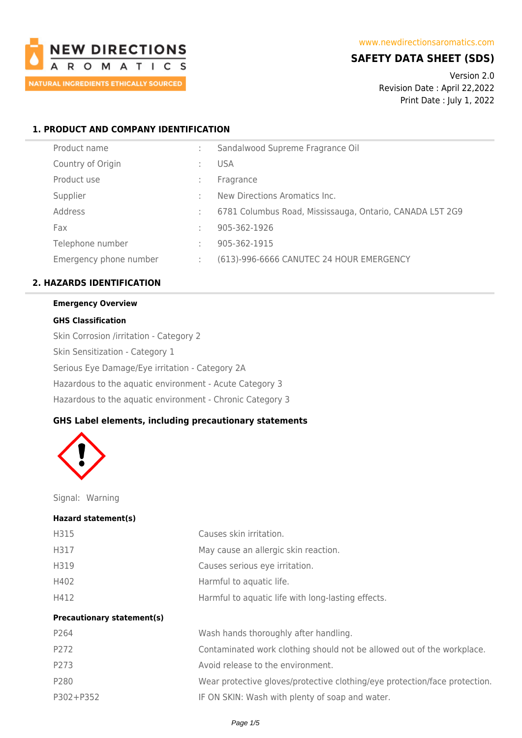

# **SAFETY DATA SHEET (SDS)**

Version 2.0 Revision Date : April 22,2022 Print Date : July 1, 2022

# **1. PRODUCT AND COMPANY IDENTIFICATION**

|   | Sandalwood Supreme Fragrance Oil                         |
|---|----------------------------------------------------------|
|   | <b>USA</b>                                               |
|   | Fragrance                                                |
|   | New Directions Aromatics Inc.                            |
|   | 6781 Columbus Road, Mississauga, Ontario, CANADA L5T 2G9 |
|   | 905-362-1926                                             |
|   | 905-362-1915                                             |
| ÷ | (613)-996-6666 CANUTEC 24 HOUR EMERGENCY                 |
|   |                                                          |

# **2. HAZARDS IDENTIFICATION**

# **Emergency Overview**

# **GHS Classification**

Skin Corrosion /irritation - Category 2 Skin Sensitization - Category 1 Serious Eye Damage/Eye irritation - Category 2A Hazardous to the aquatic environment - Acute Category 3 Hazardous to the aquatic environment - Chronic Category 3

# **GHS Label elements, including precautionary statements**



Signal: Warning

#### **Hazard statement(s)**

| H315                              | Causes skin irritation.                                                    |
|-----------------------------------|----------------------------------------------------------------------------|
| H317                              | May cause an allergic skin reaction.                                       |
| H319                              | Causes serious eye irritation.                                             |
| H402                              | Harmful to aquatic life.                                                   |
| H412                              | Harmful to aquatic life with long-lasting effects.                         |
| <b>Precautionary statement(s)</b> |                                                                            |
| P264                              | Wash hands thoroughly after handling.                                      |
| P272                              | Contaminated work clothing should not be allowed out of the workplace.     |
| P273                              | Avoid release to the environment.                                          |
| P280                              | Wear protective gloves/protective clothing/eye protection/face protection. |
| P302+P352                         | IF ON SKIN: Wash with plenty of soap and water.                            |
|                                   |                                                                            |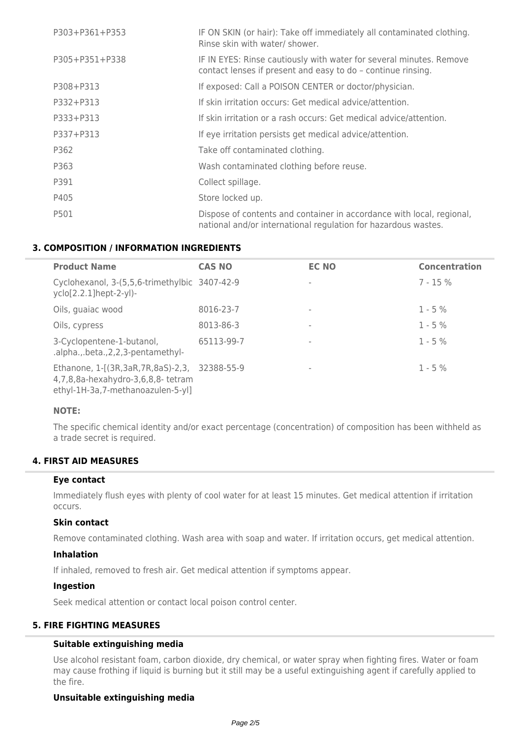| P303+P361+P353 | IF ON SKIN (or hair): Take off immediately all contaminated clothing.<br>Rinse skin with water/ shower.                                 |
|----------------|-----------------------------------------------------------------------------------------------------------------------------------------|
| P305+P351+P338 | IF IN EYES: Rinse cautiously with water for several minutes. Remove<br>contact lenses if present and easy to do - continue rinsing.     |
| P308+P313      | If exposed: Call a POISON CENTER or doctor/physician.                                                                                   |
| P332+P313      | If skin irritation occurs: Get medical advice/attention.                                                                                |
| P333+P313      | If skin irritation or a rash occurs: Get medical advice/attention.                                                                      |
| P337+P313      | If eye irritation persists get medical advice/attention.                                                                                |
| P362           | Take off contaminated clothing.                                                                                                         |
| P363           | Wash contaminated clothing before reuse.                                                                                                |
| P391           | Collect spillage.                                                                                                                       |
| P405           | Store locked up.                                                                                                                        |
| P501           | Dispose of contents and container in accordance with local, regional,<br>national and/or international regulation for hazardous wastes. |

# **3. COMPOSITION / INFORMATION INGREDIENTS**

| <b>Product Name</b>                                                                                                     | <b>CAS NO</b> | <b>EC NO</b> | <b>Concentration</b> |
|-------------------------------------------------------------------------------------------------------------------------|---------------|--------------|----------------------|
| Cyclohexanol, 3-(5,5,6-trimethylbic 3407-42-9<br>$yclo[2.2.1]hept-2-yl)-$                                               |               |              | $7 - 15%$            |
| Oils, guaiac wood                                                                                                       | 8016-23-7     |              | $1 - 5\%$            |
| Oils, cypress                                                                                                           | 8013-86-3     |              | $1 - 5%$             |
| 3-Cyclopentene-1-butanol,<br>.alpha.,.beta., 2, 2, 3-pentamethyl-                                                       | 65113-99-7    |              | $1 - 5\%$            |
| Ethanone, 1-[(3R,3aR,7R,8aS)-2,3, 32388-55-9<br>4,7,8,8a-hexahydro-3,6,8,8- tetram<br>ethyl-1H-3a,7-methanoazulen-5-yl] |               |              | $1 - 5%$             |

# **NOTE:**

The specific chemical identity and/or exact percentage (concentration) of composition has been withheld as a trade secret is required.

# **4. FIRST AID MEASURES**

### **Eye contact**

Immediately flush eyes with plenty of cool water for at least 15 minutes. Get medical attention if irritation occurs.

## **Skin contact**

Remove contaminated clothing. Wash area with soap and water. If irritation occurs, get medical attention.

### **Inhalation**

If inhaled, removed to fresh air. Get medical attention if symptoms appear.

### **Ingestion**

Seek medical attention or contact local poison control center.

# **5. FIRE FIGHTING MEASURES**

# **Suitable extinguishing media**

Use alcohol resistant foam, carbon dioxide, dry chemical, or water spray when fighting fires. Water or foam may cause frothing if liquid is burning but it still may be a useful extinguishing agent if carefully applied to the fire.

# **Unsuitable extinguishing media**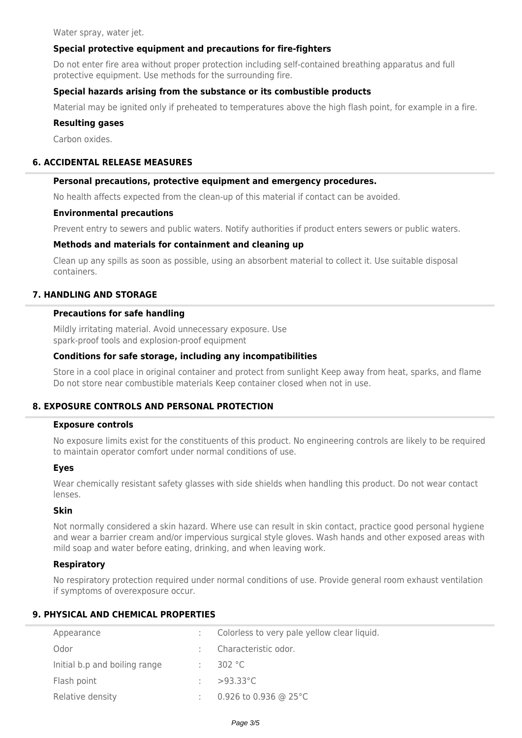Water spray, water jet.

# **Special protective equipment and precautions for fire-fighters**

Do not enter fire area without proper protection including self-contained breathing apparatus and full protective equipment. Use methods for the surrounding fire.

# **Special hazards arising from the substance or its combustible products**

Material may be ignited only if preheated to temperatures above the high flash point, for example in a fire.

### **Resulting gases**

Carbon oxides.

# **6. ACCIDENTAL RELEASE MEASURES**

### **Personal precautions, protective equipment and emergency procedures.**

No health affects expected from the clean-up of this material if contact can be avoided.

### **Environmental precautions**

Prevent entry to sewers and public waters. Notify authorities if product enters sewers or public waters.

# **Methods and materials for containment and cleaning up**

Clean up any spills as soon as possible, using an absorbent material to collect it. Use suitable disposal containers.

# **7. HANDLING AND STORAGE**

# **Precautions for safe handling**

Mildly irritating material. Avoid unnecessary exposure. Use spark-proof tools and explosion-proof equipment

### **Conditions for safe storage, including any incompatibilities**

Store in a cool place in original container and protect from sunlight Keep away from heat, sparks, and flame Do not store near combustible materials Keep container closed when not in use.

# **8. EXPOSURE CONTROLS AND PERSONAL PROTECTION**

#### **Exposure controls**

No exposure limits exist for the constituents of this product. No engineering controls are likely to be required to maintain operator comfort under normal conditions of use.

### **Eyes**

Wear chemically resistant safety glasses with side shields when handling this product. Do not wear contact lenses.

### **Skin**

Not normally considered a skin hazard. Where use can result in skin contact, practice good personal hygiene and wear a barrier cream and/or impervious surgical style gloves. Wash hands and other exposed areas with mild soap and water before eating, drinking, and when leaving work.

# **Respiratory**

No respiratory protection required under normal conditions of use. Provide general room exhaust ventilation if symptoms of overexposure occur.

# **9. PHYSICAL AND CHEMICAL PROPERTIES**

| Appearance                    | Colorless to very pale yellow clear liquid. |
|-------------------------------|---------------------------------------------|
| Odor                          | Characteristic odor.                        |
| Initial b.p and boiling range | 302 $°C$                                    |
| Flash point                   | $>93.33^{\circ}$ C                          |
| Relative density              | 0.926 to 0.936 @ 25 $^{\circ}$ C            |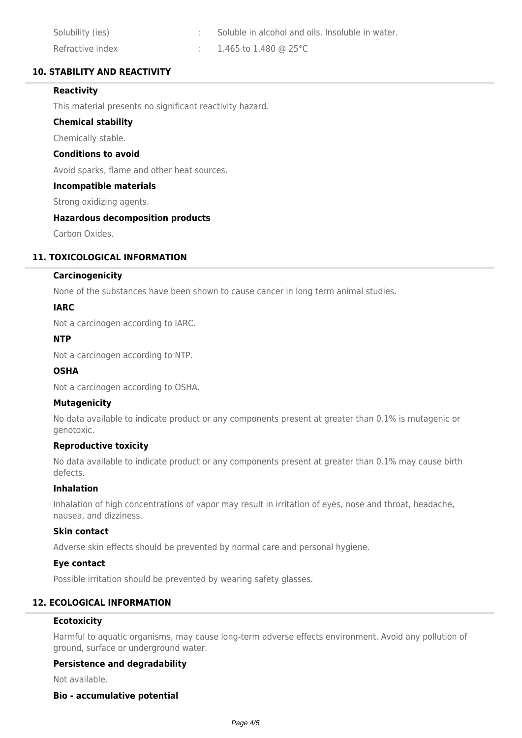| Solubility (ies) | Soluble in alcohol and oils. Insoluble in water. |
|------------------|--------------------------------------------------|
| Refractive index | $1.465$ to $1.480$ @ 25°C                        |

# **10. STABILITY AND REACTIVITY**

# **Reactivity**

This material presents no significant reactivity hazard.

# **Chemical stability**

Chemically stable.

### **Conditions to avoid**

Avoid sparks, flame and other heat sources.

### **Incompatible materials**

Strong oxidizing agents.

# **Hazardous decomposition products**

Carbon Oxides.

# **11. TOXICOLOGICAL INFORMATION**

### **Carcinogenicity**

None of the substances have been shown to cause cancer in long term animal studies.

### **IARC**

Not a carcinogen according to IARC.

### **NTP**

Not a carcinogen according to NTP.

# **OSHA**

Not a carcinogen according to OSHA.

# **Mutagenicity**

No data available to indicate product or any components present at greater than 0.1% is mutagenic or genotoxic.

# **Reproductive toxicity**

No data available to indicate product or any components present at greater than 0.1% may cause birth defects.

# **Inhalation**

Inhalation of high concentrations of vapor may result in irritation of eyes, nose and throat, headache, nausea, and dizziness.

### **Skin contact**

Adverse skin effects should be prevented by normal care and personal hygiene.

### **Eye contact**

Possible irritation should be prevented by wearing safety glasses.

# **12. ECOLOGICAL INFORMATION**

# **Ecotoxicity**

Harmful to aquatic organisms, may cause long-term adverse effects environment. Avoid any pollution of ground, surface or underground water.

### **Persistence and degradability**

Not available.

### **Bio - accumulative potential**